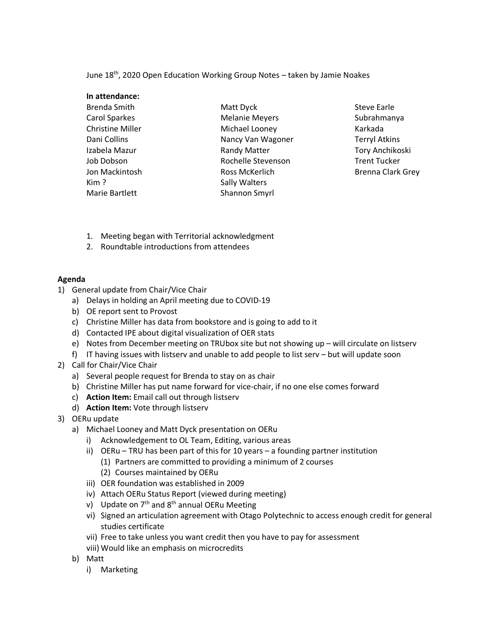June 18<sup>th</sup>, 2020 Open Education Working Group Notes - taken by Jamie Noakes

| In attendance:          |                       |
|-------------------------|-----------------------|
| Brenda Smith            | Matt Dyck             |
| <b>Carol Sparkes</b>    | <b>Melanie Meyers</b> |
| <b>Christine Miller</b> | Michael Looney        |
| Dani Collins            | Nancy Van Wagoner     |
| Izabela Mazur           | <b>Randy Matter</b>   |
| Job Dobson              | Rochelle Stevenson    |
| Jon Mackintosh          | Ross McKerlich        |
| Kim?                    | Sally Walters         |
| Marie Bartlett          | Shannon Smyrl         |

Steve Earle Subrahmanya Karkada Terryl Atkins Tory Anchikoski Trent Tucker Brenna Clark Grey

- 1. Meeting began with Territorial acknowledgment
- 2. Roundtable introductions from attendees

## **Agenda**

- 1) General update from Chair/Vice Chair
	- a) Delays in holding an April meeting due to COVID-19
	- b) OE report sent to Provost
	- c) Christine Miller has data from bookstore and is going to add to it
	- d) Contacted IPE about digital visualization of OER stats
	- e) Notes from December meeting on TRUbox site but not showing up will circulate on listserv
	- f) IT having issues with listserv and unable to add people to list serv but will update soon
- 2) Call for Chair/Vice Chair
	- a) Several people request for Brenda to stay on as chair
	- b) Christine Miller has put name forward for vice-chair, if no one else comes forward
	- c) **Action Item:** Email call out through listserv
	- d) **Action Item:** Vote through listserv
- 3) OERu update
	- a) Michael Looney and Matt Dyck presentation on OERu
		- i) Acknowledgement to OL Team, Editing, various areas
		- ii) OERu TRU has been part of this for 10 years a founding partner institution
			- (1) Partners are committed to providing a minimum of 2 courses
			- (2) Courses maintained by OERu
		- iii) OER foundation was established in 2009
		- iv) Attach OERu Status Report (viewed during meeting)
		- v) Update on  $7<sup>th</sup>$  and  $8<sup>th</sup>$  annual OERu Meeting
		- vi) Signed an articulation agreement with Otago Polytechnic to access enough credit for general studies certificate
		- vii) Free to take unless you want credit then you have to pay for assessment
		- viii) Would like an emphasis on microcredits
	- b) Matt
		- i) Marketing